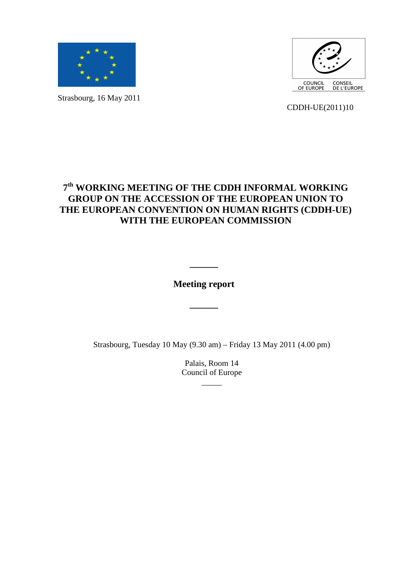

Strasbourg, 16 May 2011



CDDH-UE(2011)10

# **7 th WORKING MEETING OF THE CDDH INFORMAL WORKING GROUP ON THE ACCESSION OF THE EUROPEAN UNION TO THE EUROPEAN CONVENTION ON HUMAN RIGHTS (CDDH-UE) WITH THE EUROPEAN COMMISSION**

**Meeting report** 

**\_\_\_\_\_\_** 

**\_\_\_\_\_\_** 

Strasbourg, Tuesday 10 May (9.30 am) – Friday 13 May 2011 (4.00 pm)

Palais, Room 14 Council of Europe

 $\overline{\phantom{a}}$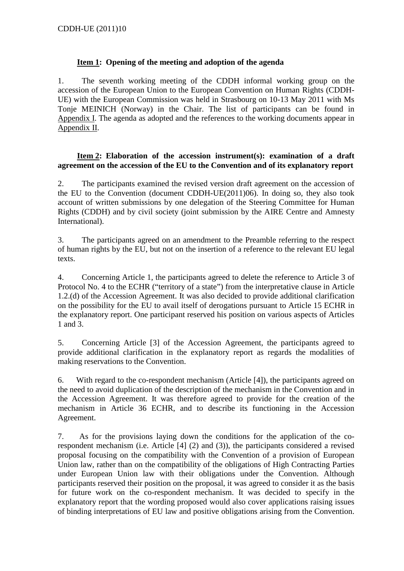## **Item 1: Opening of the meeting and adoption of the agenda**

1. The seventh working meeting of the CDDH informal working group on the accession of the European Union to the European Convention on Human Rights (CDDH-UE) with the European Commission was held in Strasbourg on 10-13 May 2011 with Ms Tonje MEINICH (Norway) in the Chair. The list of participants can be found in Appendix I. The agenda as adopted and the references to the working documents appear in Appendix II.

#### **Item 2: Elaboration of the accession instrument(s): examination of a draft agreement on the accession of the EU to the Convention and of its explanatory report**

2. The participants examined the revised version draft agreement on the accession of the EU to the Convention (document CDDH-UE(2011)06). In doing so, they also took account of written submissions by one delegation of the Steering Committee for Human Rights (CDDH) and by civil society (joint submission by the AIRE Centre and Amnesty International).

3. The participants agreed on an amendment to the Preamble referring to the respect of human rights by the EU, but not on the insertion of a reference to the relevant EU legal texts.

4. Concerning Article 1, the participants agreed to delete the reference to Article 3 of Protocol No. 4 to the ECHR ("territory of a state") from the interpretative clause in Article 1.2.(d) of the Accession Agreement. It was also decided to provide additional clarification on the possibility for the EU to avail itself of derogations pursuant to Article 15 ECHR in the explanatory report. One participant reserved his position on various aspects of Articles 1 and 3.

5. Concerning Article [3] of the Accession Agreement, the participants agreed to provide additional clarification in the explanatory report as regards the modalities of making reservations to the Convention.

6. With regard to the co-respondent mechanism (Article [4]), the participants agreed on the need to avoid duplication of the description of the mechanism in the Convention and in the Accession Agreement. It was therefore agreed to provide for the creation of the mechanism in Article 36 ECHR, and to describe its functioning in the Accession Agreement.

7. As for the provisions laying down the conditions for the application of the corespondent mechanism (i.e. Article [4] (2) and (3)), the participants considered a revised proposal focusing on the compatibility with the Convention of a provision of European Union law, rather than on the compatibility of the obligations of High Contracting Parties under European Union law with their obligations under the Convention. Although participants reserved their position on the proposal, it was agreed to consider it as the basis for future work on the co-respondent mechanism. It was decided to specify in the explanatory report that the wording proposed would also cover applications raising issues of binding interpretations of EU law and positive obligations arising from the Convention.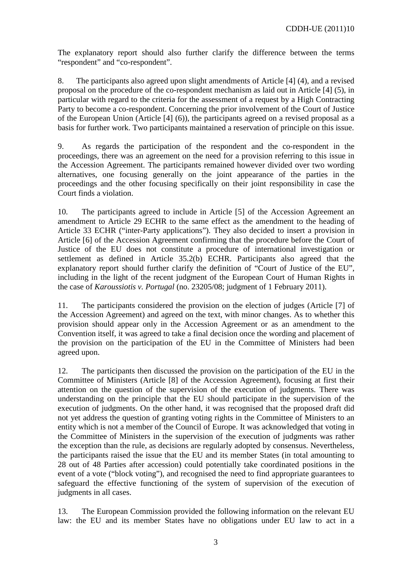The explanatory report should also further clarify the difference between the terms "respondent" and "co-respondent".

8. The participants also agreed upon slight amendments of Article [4] (4), and a revised proposal on the procedure of the co-respondent mechanism as laid out in Article [4] (5), in particular with regard to the criteria for the assessment of a request by a High Contracting Party to become a co-respondent. Concerning the prior involvement of the Court of Justice of the European Union (Article [4] (6)), the participants agreed on a revised proposal as a basis for further work. Two participants maintained a reservation of principle on this issue.

9. As regards the participation of the respondent and the co-respondent in the proceedings, there was an agreement on the need for a provision referring to this issue in the Accession Agreement. The participants remained however divided over two wording alternatives, one focusing generally on the joint appearance of the parties in the proceedings and the other focusing specifically on their joint responsibility in case the Court finds a violation.

10. The participants agreed to include in Article [5] of the Accession Agreement an amendment to Article 29 ECHR to the same effect as the amendment to the heading of Article 33 ECHR ("inter-Party applications"). They also decided to insert a provision in Article [6] of the Accession Agreement confirming that the procedure before the Court of Justice of the EU does not constitute a procedure of international investigation or settlement as defined in Article 35.2(b) ECHR. Participants also agreed that the explanatory report should further clarify the definition of "Court of Justice of the EU", including in the light of the recent judgment of the European Court of Human Rights in the case of *Karoussiotis v. Portugal* (no. 23205/08; judgment of 1 February 2011).

11. The participants considered the provision on the election of judges (Article [7] of the Accession Agreement) and agreed on the text, with minor changes. As to whether this provision should appear only in the Accession Agreement or as an amendment to the Convention itself, it was agreed to take a final decision once the wording and placement of the provision on the participation of the EU in the Committee of Ministers had been agreed upon.

12. The participants then discussed the provision on the participation of the EU in the Committee of Ministers (Article [8] of the Accession Agreement), focusing at first their attention on the question of the supervision of the execution of judgments. There was understanding on the principle that the EU should participate in the supervision of the execution of judgments. On the other hand, it was recognised that the proposed draft did not yet address the question of granting voting rights in the Committee of Ministers to an entity which is not a member of the Council of Europe. It was acknowledged that voting in the Committee of Ministers in the supervision of the execution of judgments was rather the exception than the rule, as decisions are regularly adopted by consensus. Nevertheless, the participants raised the issue that the EU and its member States (in total amounting to 28 out of 48 Parties after accession) could potentially take coordinated positions in the event of a vote ("block voting"), and recognised the need to find appropriate guarantees to safeguard the effective functioning of the system of supervision of the execution of judgments in all cases.

13. The European Commission provided the following information on the relevant EU law: the EU and its member States have no obligations under EU law to act in a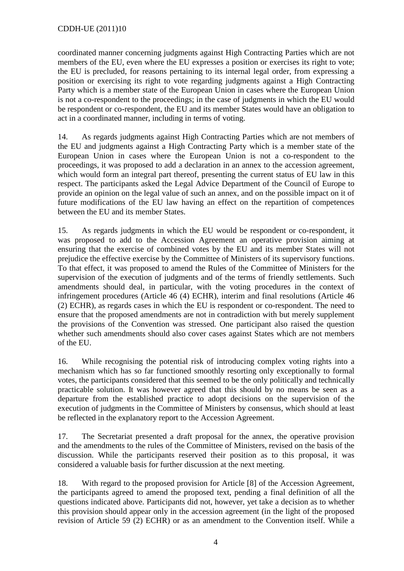coordinated manner concerning judgments against High Contracting Parties which are not members of the EU, even where the EU expresses a position or exercises its right to vote; the EU is precluded, for reasons pertaining to its internal legal order, from expressing a position or exercising its right to vote regarding judgments against a High Contracting Party which is a member state of the European Union in cases where the European Union is not a co-respondent to the proceedings; in the case of judgments in which the EU would be respondent or co-respondent, the EU and its member States would have an obligation to act in a coordinated manner, including in terms of voting.

14. As regards judgments against High Contracting Parties which are not members of the EU and judgments against a High Contracting Party which is a member state of the European Union in cases where the European Union is not a co-respondent to the proceedings, it was proposed to add a declaration in an annex to the accession agreement, which would form an integral part thereof, presenting the current status of EU law in this respect. The participants asked the Legal Advice Department of the Council of Europe to provide an opinion on the legal value of such an annex, and on the possible impact on it of future modifications of the EU law having an effect on the repartition of competences between the EU and its member States.

15. As regards judgments in which the EU would be respondent or co-respondent, it was proposed to add to the Accession Agreement an operative provision aiming at ensuring that the exercise of combined votes by the EU and its member States will not prejudice the effective exercise by the Committee of Ministers of its supervisory functions. To that effect, it was proposed to amend the Rules of the Committee of Ministers for the supervision of the execution of judgments and of the terms of friendly settlements. Such amendments should deal, in particular, with the voting procedures in the context of infringement procedures (Article 46 (4) ECHR), interim and final resolutions (Article 46 (2) ECHR), as regards cases in which the EU is respondent or co-respondent. The need to ensure that the proposed amendments are not in contradiction with but merely supplement the provisions of the Convention was stressed. One participant also raised the question whether such amendments should also cover cases against States which are not members of the EU.

16. While recognising the potential risk of introducing complex voting rights into a mechanism which has so far functioned smoothly resorting only exceptionally to formal votes, the participants considered that this seemed to be the only politically and technically practicable solution. It was however agreed that this should by no means be seen as a departure from the established practice to adopt decisions on the supervision of the execution of judgments in the Committee of Ministers by consensus, which should at least be reflected in the explanatory report to the Accession Agreement.

17. The Secretariat presented a draft proposal for the annex, the operative provision and the amendments to the rules of the Committee of Ministers, revised on the basis of the discussion. While the participants reserved their position as to this proposal, it was considered a valuable basis for further discussion at the next meeting.

18. With regard to the proposed provision for Article [8] of the Accession Agreement, the participants agreed to amend the proposed text, pending a final definition of all the questions indicated above. Participants did not, however, yet take a decision as to whether this provision should appear only in the accession agreement (in the light of the proposed revision of Article 59 (2) ECHR) or as an amendment to the Convention itself. While a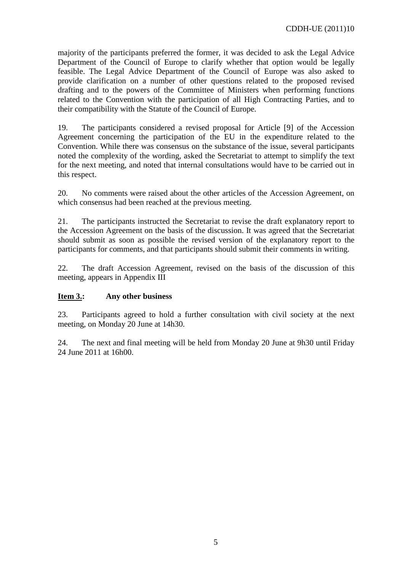majority of the participants preferred the former, it was decided to ask the Legal Advice Department of the Council of Europe to clarify whether that option would be legally feasible. The Legal Advice Department of the Council of Europe was also asked to provide clarification on a number of other questions related to the proposed revised drafting and to the powers of the Committee of Ministers when performing functions related to the Convention with the participation of all High Contracting Parties, and to their compatibility with the Statute of the Council of Europe.

19. The participants considered a revised proposal for Article [9] of the Accession Agreement concerning the participation of the EU in the expenditure related to the Convention. While there was consensus on the substance of the issue, several participants noted the complexity of the wording, asked the Secretariat to attempt to simplify the text for the next meeting, and noted that internal consultations would have to be carried out in this respect.

20. No comments were raised about the other articles of the Accession Agreement, on which consensus had been reached at the previous meeting.

21. The participants instructed the Secretariat to revise the draft explanatory report to the Accession Agreement on the basis of the discussion. It was agreed that the Secretariat should submit as soon as possible the revised version of the explanatory report to the participants for comments, and that participants should submit their comments in writing.

22. The draft Accession Agreement, revised on the basis of the discussion of this meeting, appears in Appendix III

### **Item 3.: Any other business**

23. Participants agreed to hold a further consultation with civil society at the next meeting, on Monday 20 June at 14h30.

24. The next and final meeting will be held from Monday 20 June at 9h30 until Friday 24 June 2011 at 16h00.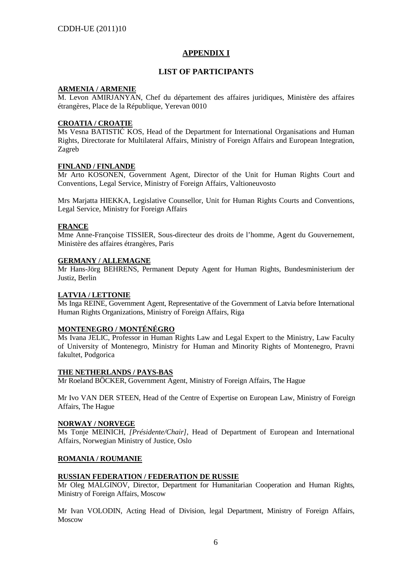## **APPENDIX I**

### **LIST OF PARTICIPANTS**

#### **ARMENIA / ARMENIE**

M. Levon AMIRJANYAN, Chef du département des affaires juridiques, Ministère des affaires étrangères, Place de la République, Yerevan 0010

#### **CROATIA / CROATIE**

Ms Vesna BATISTIĆ KOS, Head of the Department for International Organisations and Human Rights, Directorate for Multilateral Affairs, Ministry of Foreign Affairs and European Integration, Zagreb

#### **FINLAND / FINLANDE**

Mr Arto KOSONEN, Government Agent, Director of the Unit for Human Rights Court and Conventions, Legal Service, Ministry of Foreign Affairs, Valtioneuvosto

Mrs Marjatta HIEKKA, Legislative Counsellor, Unit for Human Rights Courts and Conventions, Legal Service, Ministry for Foreign Affairs

#### **FRANCE**

Mme Anne-Françoise TISSIER, Sous-directeur des droits de l'homme, Agent du Gouvernement, Ministère des affaires étrangères, Paris

#### **GERMANY / ALLEMAGNE**

Mr Hans-Jörg BEHRENS, Permanent Deputy Agent for Human Rights, Bundesministerium der Justiz, Berlin

#### **LATVIA / LETTONIE**

Ms Inga REINE, Government Agent, Representative of the Government of Latvia before International Human Rights Organizations, Ministry of Foreign Affairs, Riga

#### **MONTENEGRO / MONTÉNÉGRO**

Ms Ivana JELIC, Professor in Human Rights Law and Legal Expert to the Ministry, Law Faculty of University of Montenegro, Ministry for Human and Minority Rights of Montenegro, Pravni fakultet, Podgorica

#### **THE NETHERLANDS / PAYS-BAS**

Mr Roeland BÖCKER, Government Agent, Ministry of Foreign Affairs, The Hague

Mr Ivo VAN DER STEEN, Head of the Centre of Expertise on European Law, Ministry of Foreign Affairs, The Hague

#### **NORWAY / NORVEGE**

Ms Tonje MEINICH, *[Présidente/Chair]*, Head of Department of European and International Affairs, Norwegian Ministry of Justice, Oslo

#### **ROMANIA / ROUMANIE**

#### **RUSSIAN FEDERATION / FEDERATION DE RUSSIE**

Mr Oleg MALGINOV, Director, Department for Humanitarian Cooperation and Human Rights, Ministry of Foreign Affairs, Moscow

Mr Ivan VOLODIN, Acting Head of Division, legal Department, Ministry of Foreign Affairs, **Moscow**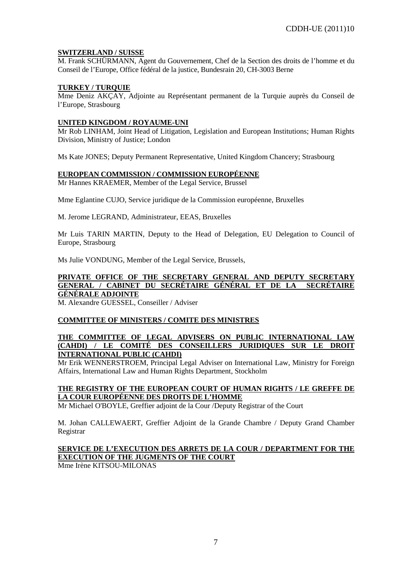#### **SWITZERLAND / SUISSE**

M. Frank SCHÜRMANN, Agent du Gouvernement, Chef de la Section des droits de l'homme et du Conseil de l'Europe, Office fédéral de la justice, Bundesrain 20, CH-3003 Berne

#### **TURKEY / TURQUIE**

Mme Deniz AKÇAY, Adjointe au Représentant permanent de la Turquie auprès du Conseil de l'Europe, Strasbourg

#### **UNITED KINGDOM / ROYAUME-UNI**

Mr Rob LINHAM, Joint Head of Litigation, Legislation and European Institutions; Human Rights Division, Ministry of Justice; London

Ms Kate JONES; Deputy Permanent Representative, United Kingdom Chancery; Strasbourg

#### **EUROPEAN COMMISSION / COMMISSION EUROPÉENNE**

Mr Hannes KRAEMER, Member of the Legal Service, Brussel

Mme Eglantine CUJO, Service juridique de la Commission européenne, Bruxelles

M. Jerome LEGRAND, Administrateur, EEAS, Bruxelles

Mr Luis TARIN MARTIN, Deputy to the Head of Delegation, EU Delegation to Council of Europe, Strasbourg

Ms Julie VONDUNG, Member of the Legal Service, Brussels,

#### **PRIVATE OFFICE OF THE SECRETARY GENERAL AND DEPUTY SECRETARY GENERAL / CABINET DU SECRÉTAIRE GÉNÉRAL ET DE LA SECRÉTAIRE GÉNÉRALE ADJOINTE**

M. Alexandre GUESSEL, Conseiller / Adviser

#### **COMMITTEE OF MINISTERS / COMITE DES MINISTRES**

#### **THE COMMITTEE OF LEGAL ADVISERS ON PUBLIC INTERNATIONAL LAW (CAHDI) / LE COMITÉ DES CONSEILLERS JURIDIQUES SUR LE DROIT INTERNATIONAL PUBLIC (CAHDI)**

Mr Erik WENNERSTROEM, Principal Legal Adviser on International Law, Ministry for Foreign Affairs, International Law and Human Rights Department, Stockholm

#### **THE REGISTRY OF THE EUROPEAN COURT OF HUMAN RIGHTS / LE GREFFE DE LA COUR EUROPÉENNE DES DROITS DE L'HOMME**

Mr Michael O'BOYLE, Greffier adjoint de la Cour /Deputy Registrar of the Court

M. Johan CALLEWAERT, Greffier Adjoint de la Grande Chambre / Deputy Grand Chamber Registrar

#### **SERVICE DE L'EXECUTION DES ARRETS DE LA COUR / DEPARTMENT FOR THE EXECUTION OF THE JUGMENTS OF THE COURT**

Mme Irène KITSOU-MILONAS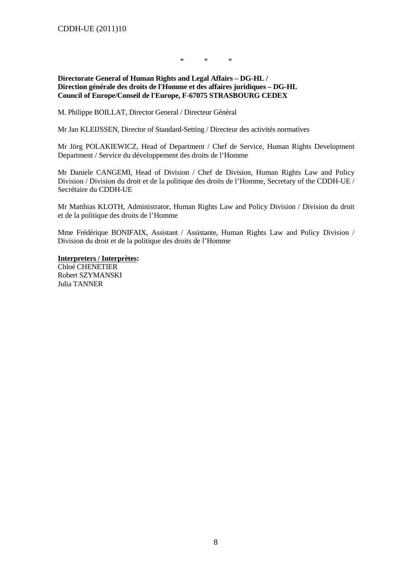\* \* \*

**Directorate General of Human Rights and Legal Affairs – DG-HL / Direction générale des droits de l'Homme et des affaires juridiques – DG-HL Council of Europe/Conseil de l'Europe, F-67075 STRASBOURG CEDEX**

M. Philippe BOILLAT, Director General / Directeur Général

Mr Jan KLEIJSSEN, Director of Standard-Setting / Directeur des activités normatives

Mr Jörg POLAKIEWICZ, Head of Department / Chef de Service, Human Rights Development Department / Service du développement des droits de l'Homme

Mr Daniele CANGEMI, Head of Division / Chef de Division, Human Rights Law and Policy Division / Division du droit et de la politique des droits de l'Homme, Secretary of the CDDH-UE / Secrétaire du CDDH-UE

Mr Matthias KLOTH, Administrator, Human Rights Law and Policy Division / Division du droit et de la politique des droits de l'Homme

Mme Frédérique BONIFAIX, Assistant / Assistante, Human Rights Law and Policy Division / Division du droit et de la politique des droits de l'Homme

**Interpreters / Interprètes:** 

Chloé CHENETIER Robert SZYMANSKI Julia TANNER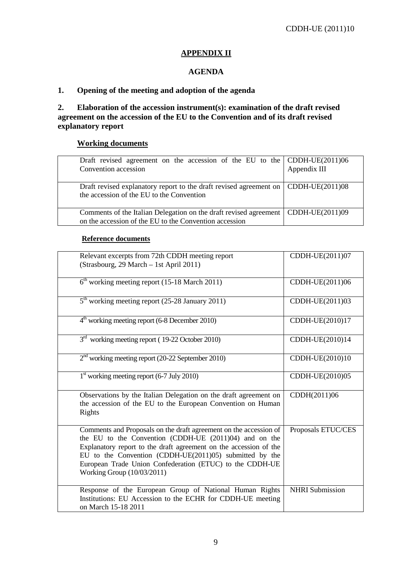# **APPENDIX II**

## **AGENDA**

## **1. Opening of the meeting and adoption of the agenda**

### **2. Elaboration of the accession instrument(s): examination of the draft revised agreement on the accession of the EU to the Convention and of its draft revised explanatory report**

#### **Working documents**

| Draft revised agreement on the accession of the EU to the $\vert$ CDDH-UE(2011)06<br>Convention accession                               | Appendix III    |
|-----------------------------------------------------------------------------------------------------------------------------------------|-----------------|
| Draft revised explanatory report to the draft revised agreement on $\vert$ CDDH-UE(2011)08<br>the accession of the EU to the Convention |                 |
| Comments of the Italian Delegation on the draft revised agreement  <br>on the accession of the EU to the Convention accession           | CDDH-UE(2011)09 |

#### **Reference documents**

| Relevant excerpts from 72th CDDH meeting report<br>(Strasbourg, 29 March - 1st April 2011)                                                                                                                                                                                                                                                            | CDDH-UE(2011)07        |
|-------------------------------------------------------------------------------------------------------------------------------------------------------------------------------------------------------------------------------------------------------------------------------------------------------------------------------------------------------|------------------------|
| $6th$ working meeting report (15-18 March 2011)                                                                                                                                                                                                                                                                                                       | CDDH-UE(2011)06        |
| $5th$ working meeting report (25-28 January 2011)                                                                                                                                                                                                                                                                                                     | CDDH-UE(2011)03        |
| $4th$ working meeting report (6-8 December 2010)                                                                                                                                                                                                                                                                                                      | CDDH-UE(2010)17        |
| $3rd$ working meeting report (19-22 October 2010)                                                                                                                                                                                                                                                                                                     | CDDH-UE(2010)14        |
| $2nd$ working meeting report (20-22 September 2010)                                                                                                                                                                                                                                                                                                   | CDDH-UE(2010)10        |
| $1st$ working meeting report (6-7 July 2010)                                                                                                                                                                                                                                                                                                          | CDDH-UE(2010)05        |
| Observations by the Italian Delegation on the draft agreement on<br>the accession of the EU to the European Convention on Human<br>Rights                                                                                                                                                                                                             | CDDH(2011)06           |
| Comments and Proposals on the draft agreement on the accession of<br>the EU to the Convention (CDDH-UE (2011)04) and on the<br>Explanatory report to the draft agreement on the accession of the<br>EU to the Convention (CDDH-UE(2011)05) submitted by the<br>European Trade Union Confederation (ETUC) to the CDDH-UE<br>Working Group (10/03/2011) | Proposals ETUC/CES     |
| Response of the European Group of National Human Rights<br>Institutions: EU Accession to the ECHR for CDDH-UE meeting<br>on March 15-18 2011                                                                                                                                                                                                          | <b>NHRI</b> Submission |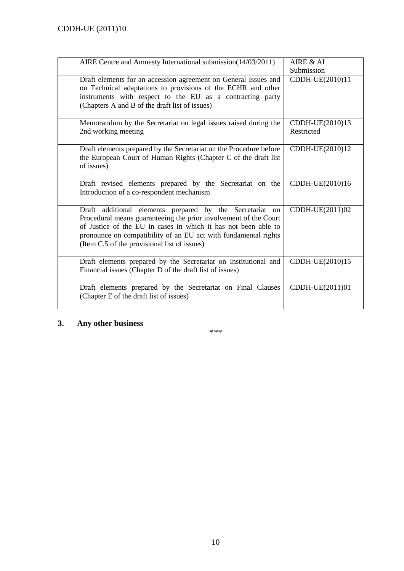| AIRE Centre and Amnesty International submission(14/03/2011)                                                                                                                                                                                                                                                      | AIRE & AI<br>Submission       |
|-------------------------------------------------------------------------------------------------------------------------------------------------------------------------------------------------------------------------------------------------------------------------------------------------------------------|-------------------------------|
| Draft elements for an accession agreement on General Issues and<br>on Technical adaptations to provisions of the ECHR and other<br>instruments with respect to the EU as a contracting party<br>(Chapters A and B of the draft list of issues)                                                                    | CDDH-UE(2010)11               |
| Memorandum by the Secretariat on legal issues raised during the<br>2nd working meeting                                                                                                                                                                                                                            | CDDH-UE(2010)13<br>Restricted |
| Draft elements prepared by the Secretariat on the Procedure before<br>the European Court of Human Rights (Chapter C of the draft list<br>of issues)                                                                                                                                                               | CDDH-UE(2010)12               |
| Draft revised elements prepared by the Secretariat on the<br>Introduction of a co-respondent mechanism                                                                                                                                                                                                            | CDDH-UE(2010)16               |
| Draft additional elements prepared by the Secretariat on<br>Procedural means guaranteeing the prior involvement of the Court<br>of Justice of the EU in cases in which it has not been able to<br>pronounce on compatibility of an EU act with fundamental rights<br>(Item C.5 of the provisional list of issues) | CDDH-UE(2011)02               |
| Draft elements prepared by the Secretariat on Institutional and<br>Financial issues (Chapter D of the draft list of issues)                                                                                                                                                                                       | CDDH-UE(2010)15               |
| Draft elements prepared by the Secretariat on Final Clauses<br>(Chapter E of the draft list of issues)                                                                                                                                                                                                            | CDDH-UE(2011)01               |

**3. Any other business** 

\* \*\*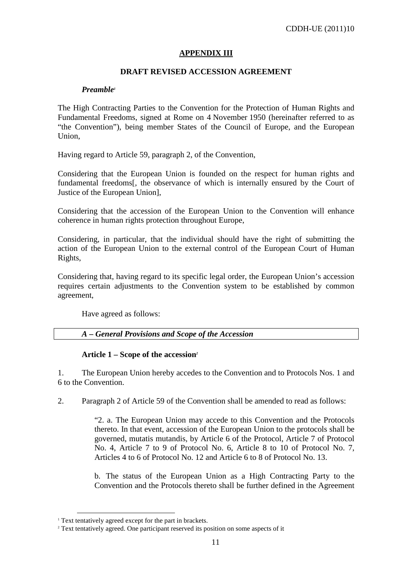### **APPENDIX III**

#### **DRAFT REVISED ACCESSION AGREEMENT**

### *Preamble<sup>1</sup>*

The High Contracting Parties to the Convention for the Protection of Human Rights and Fundamental Freedoms, signed at Rome on 4 November 1950 (hereinafter referred to as "the Convention"), being member States of the Council of Europe, and the European Union,

Having regard to Article 59, paragraph 2, of the Convention,

Considering that the European Union is founded on the respect for human rights and fundamental freedoms[, the observance of which is internally ensured by the Court of Justice of the European Union],

Considering that the accession of the European Union to the Convention will enhance coherence in human rights protection throughout Europe,

Considering, in particular, that the individual should have the right of submitting the action of the European Union to the external control of the European Court of Human Rights,

Considering that, having regard to its specific legal order, the European Union's accession requires certain adjustments to the Convention system to be established by common agreement,

Have agreed as follows:

### *A – General Provisions and Scope of the Accession*

#### **Article 1 – Scope of the accession***<sup>2</sup>*

1. The European Union hereby accedes to the Convention and to Protocols Nos. 1 and 6 to the Convention.

2. Paragraph 2 of Article 59 of the Convention shall be amended to read as follows:

"2. a. The European Union may accede to this Convention and the Protocols thereto. In that event, accession of the European Union to the protocols shall be governed, mutatis mutandis, by Article 6 of the Protocol, Article 7 of Protocol No. 4, Article 7 to 9 of Protocol No. 6, Article 8 to 10 of Protocol No. 7, Articles 4 to 6 of Protocol No. 12 and Article 6 to 8 of Protocol No. 13.

b. The status of the European Union as a High Contracting Party to the Convention and the Protocols thereto shall be further defined in the Agreement

<sup>&</sup>lt;sup>1</sup> Text tentatively agreed except for the part in brackets.

<sup>&</sup>lt;sup>2</sup> Text tentatively agreed. One participant reserved its position on some aspects of it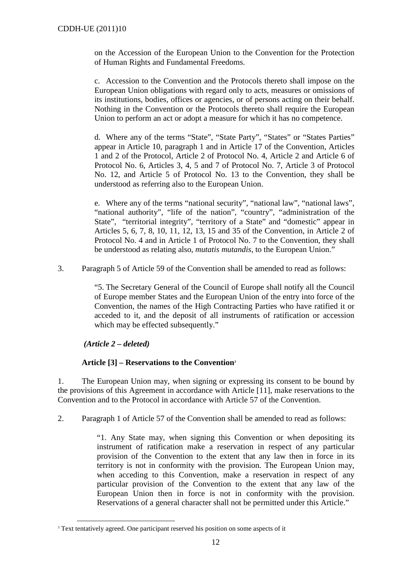on the Accession of the European Union to the Convention for the Protection of Human Rights and Fundamental Freedoms.

c. Accession to the Convention and the Protocols thereto shall impose on the European Union obligations with regard only to acts, measures or omissions of its institutions, bodies, offices or agencies, or of persons acting on their behalf. Nothing in the Convention or the Protocols thereto shall require the European Union to perform an act or adopt a measure for which it has no competence.

d. Where any of the terms "State", "State Party", "States" or "States Parties" appear in Article 10, paragraph 1 and in Article 17 of the Convention, Articles 1 and 2 of the Protocol, Article 2 of Protocol No. 4, Article 2 and Article 6 of Protocol No. 6, Articles 3, 4, 5 and 7 of Protocol No. 7, Article 3 of Protocol No. 12, and Article 5 of Protocol No. 13 to the Convention, they shall be understood as referring also to the European Union.

e. Where any of the terms "national security", "national law", "national laws", "national authority", "life of the nation", "country", "administration of the State", "territorial integrity", "territory of a State" and "domestic" appear in Articles 5, 6, 7, 8, 10, 11, 12, 13, 15 and 35 of the Convention, in Article 2 of Protocol No. 4 and in Article 1 of Protocol No. 7 to the Convention, they shall be understood as relating also, *mutatis mutandis*, to the European Union."

3. Paragraph 5 of Article 59 of the Convention shall be amended to read as follows:

"5. The Secretary General of the Council of Europe shall notify all the Council of Europe member States and the European Union of the entry into force of the Convention, the names of the High Contracting Parties who have ratified it or acceded to it, and the deposit of all instruments of ratification or accession which may be effected subsequently."

 *(Article 2 – deleted)* 

 $\overline{a}$ 

### **Article [3] – Reservations to the Convention***<sup>3</sup>*

1. The European Union may, when signing or expressing its consent to be bound by the provisions of this Agreement in accordance with Article [11], make reservations to the Convention and to the Protocol in accordance with Article 57 of the Convention.

2. Paragraph 1 of Article 57 of the Convention shall be amended to read as follows:

"1. Any State may, when signing this Convention or when depositing its instrument of ratification make a reservation in respect of any particular provision of the Convention to the extent that any law then in force in its territory is not in conformity with the provision. The European Union may, when acceding to this Convention, make a reservation in respect of any particular provision of the Convention to the extent that any law of the European Union then in force is not in conformity with the provision. Reservations of a general character shall not be permitted under this Article."

<sup>&</sup>lt;sup>3</sup> Text tentatively agreed. One participant reserved his position on some aspects of it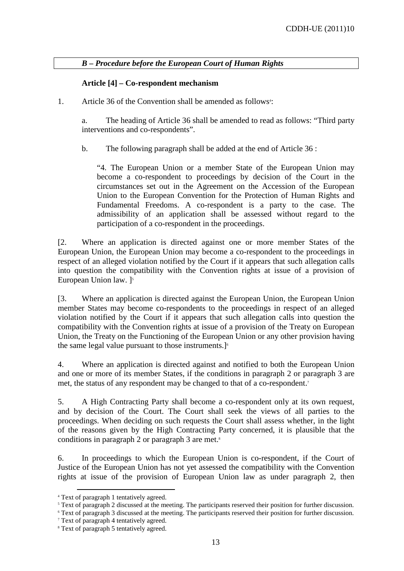### *B – Procedure before the European Court of Human Rights*

### **Article [4] – Co-respondent mechanism**

1. Article 36 of the Convention shall be amended as follows<sup>4</sup>:

a. The heading of Article 36 shall be amended to read as follows: "Third party interventions and co-respondents".

b. The following paragraph shall be added at the end of Article 36 :

"4. The European Union or a member State of the European Union may become a co-respondent to proceedings by decision of the Court in the circumstances set out in the Agreement on the Accession of the European Union to the European Convention for the Protection of Human Rights and Fundamental Freedoms. A co-respondent is a party to the case. The admissibility of an application shall be assessed without regard to the participation of a co-respondent in the proceedings.

[2. Where an application is directed against one or more member States of the European Union, the European Union may become a co-respondent to the proceedings in respect of an alleged violation notified by the Court if it appears that such allegation calls into question the compatibility with the Convention rights at issue of a provision of European Union law. 1<sup>5</sup>

[3. Where an application is directed against the European Union, the European Union member States may become co-respondents to the proceedings in respect of an alleged violation notified by the Court if it appears that such allegation calls into question the compatibility with the Convention rights at issue of a provision of the Treaty on European Union, the Treaty on the Functioning of the European Union or any other provision having the same legal value pursuant to those instruments.] 6

4. Where an application is directed against and notified to both the European Union and one or more of its member States, if the conditions in paragraph 2 or paragraph 3 are met, the status of any respondent may be changed to that of a co-respondent.<sup>7</sup>

5. A High Contracting Party shall become a co-respondent only at its own request, and by decision of the Court. The Court shall seek the views of all parties to the proceedings. When deciding on such requests the Court shall assess whether, in the light of the reasons given by the High Contracting Party concerned, it is plausible that the conditions in paragraph 2 or paragraph 3 are met. $s$ 

6. In proceedings to which the European Union is co-respondent, if the Court of Justice of the European Union has not yet assessed the compatibility with the Convention rights at issue of the provision of European Union law as under paragraph 2, then

<sup>4</sup> Text of paragraph 1 tentatively agreed.

<sup>&</sup>lt;sup>5</sup> Text of paragraph 2 discussed at the meeting. The participants reserved their position for further discussion.

<sup>6</sup> Text of paragraph 3 discussed at the meeting. The participants reserved their position for further discussion.

<sup>7</sup> Text of paragraph 4 tentatively agreed.

<sup>8</sup> Text of paragraph 5 tentatively agreed.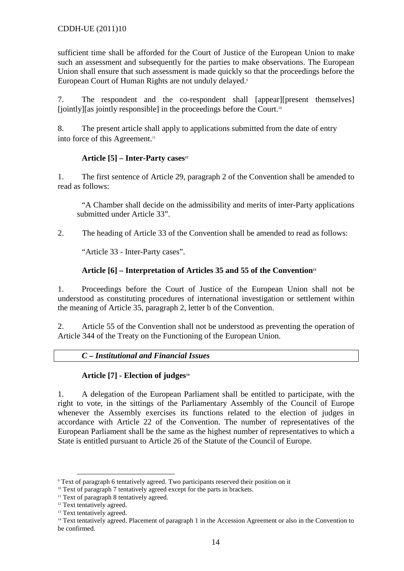sufficient time shall be afforded for the Court of Justice of the European Union to make such an assessment and subsequently for the parties to make observations. The European Union shall ensure that such assessment is made quickly so that the proceedings before the European Court of Human Rights are not unduly delayed.<sup>9</sup>

7. The respondent and the co-respondent shall [appear][present themselves] [jointly][as jointly responsible] in the proceedings before the Court.<sup>10</sup>

8. The present article shall apply to applications submitted from the date of entry into force of this Agreement.<sup>11</sup>

# **Article [5] – Inter-Party cases***<sup>12</sup>*

1. The first sentence of Article 29, paragraph 2 of the Convention shall be amended to read as follows:

 "A Chamber shall decide on the admissibility and merits of inter-Party applications submitted under Article 33".

2. The heading of Article 33 of the Convention shall be amended to read as follows:

"Article 33 - Inter-Party cases".

## **Article [6] – Interpretation of Articles 35 and 55 of the Convention<sup>13</sup>**

1. Proceedings before the Court of Justice of the European Union shall not be understood as constituting procedures of international investigation or settlement within the meaning of Article 35, paragraph 2, letter b of the Convention.

2. Article 55 of the Convention shall not be understood as preventing the operation of Article 344 of the Treaty on the Functioning of the European Union.

*C – Institutional and Financial Issues* 

### **Article [7] - Election of judges<sup>14</sup>**

1. A delegation of the European Parliament shall be entitled to participate, with the right to vote, in the sittings of the Parliamentary Assembly of the Council of Europe whenever the Assembly exercises its functions related to the election of judges in accordance with Article 22 of the Convention. The number of representatives of the European Parliament shall be the same as the highest number of representatives to which a State is entitled pursuant to Article 26 of the Statute of the Council of Europe.

<sup>9</sup> Text of paragraph 6 tentatively agreed. Two participants reserved their position on it

<sup>&</sup>lt;sup>10</sup> Text of paragraph 7 tentatively agreed except for the parts in brackets.

<sup>&</sup>lt;sup>11</sup> Text of paragraph 8 tentatively agreed.

<sup>&</sup>lt;sup>12</sup> Text tentatively agreed.

<sup>&</sup>lt;sup>13</sup> Text tentatively agreed.

<sup>&</sup>lt;sup>14</sup> Text tentatively agreed. Placement of paragraph 1 in the Accession Agreement or also in the Convention to be confirmed.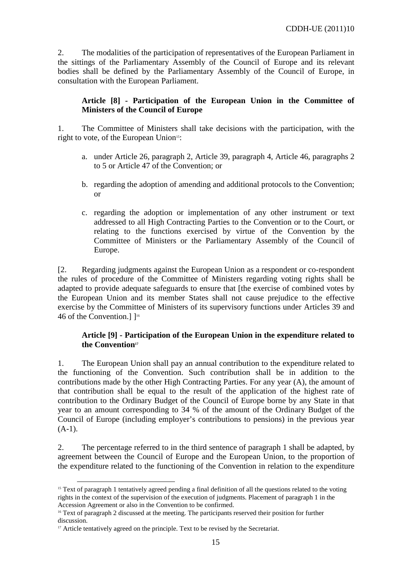2. The modalities of the participation of representatives of the European Parliament in the sittings of the Parliamentary Assembly of the Council of Europe and its relevant bodies shall be defined by the Parliamentary Assembly of the Council of Europe, in consultation with the European Parliament.

### **Article [8] - Participation of the European Union in the Committee of Ministers of the Council of Europe**

1. The Committee of Ministers shall take decisions with the participation, with the right to vote, of the European Union<sup>15</sup>:

- a. under Article 26, paragraph 2, Article 39, paragraph 4, Article 46, paragraphs 2 to 5 or Article 47 of the Convention; or
- b. regarding the adoption of amending and additional protocols to the Convention; or
- c. regarding the adoption or implementation of any other instrument or text addressed to all High Contracting Parties to the Convention or to the Court, or relating to the functions exercised by virtue of the Convention by the Committee of Ministers or the Parliamentary Assembly of the Council of Europe.

[2. Regarding judgments against the European Union as a respondent or co-respondent the rules of procedure of the Committee of Ministers regarding voting rights shall be adapted to provide adequate safeguards to ensure that [the exercise of combined votes by the European Union and its member States shall not cause prejudice to the effective exercise by the Committee of Ministers of its supervisory functions under Articles 39 and 46 of the Convention.]  $]^{16}$ 

### **Article [9] - Participation of the European Union in the expenditure related to the Convention<sup>17</sup>**

1. The European Union shall pay an annual contribution to the expenditure related to the functioning of the Convention. Such contribution shall be in addition to the contributions made by the other High Contracting Parties. For any year (A), the amount of that contribution shall be equal to the result of the application of the highest rate of contribution to the Ordinary Budget of the Council of Europe borne by any State in that year to an amount corresponding to 34 % of the amount of the Ordinary Budget of the Council of Europe (including employer's contributions to pensions) in the previous year  $(A-1)$ .

2. The percentage referred to in the third sentence of paragraph 1 shall be adapted, by agreement between the Council of Europe and the European Union, to the proportion of the expenditure related to the functioning of the Convention in relation to the expenditure

 $\overline{a}$ <sup>15</sup> Text of paragraph 1 tentatively agreed pending a final definition of all the questions related to the voting rights in the context of the supervision of the execution of judgments. Placement of paragraph 1 in the Accession Agreement or also in the Convention to be confirmed.

<sup>&</sup>lt;sup>16</sup> Text of paragraph 2 discussed at the meeting. The participants reserved their position for further discussion.

<sup>&</sup>lt;sup>17</sup> Article tentatively agreed on the principle. Text to be revised by the Secretariat.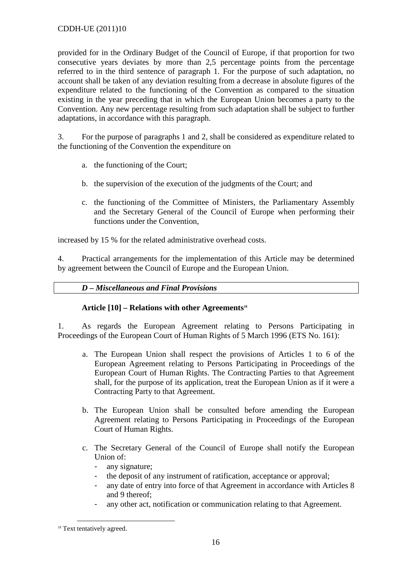provided for in the Ordinary Budget of the Council of Europe, if that proportion for two consecutive years deviates by more than 2,5 percentage points from the percentage referred to in the third sentence of paragraph 1. For the purpose of such adaptation, no account shall be taken of any deviation resulting from a decrease in absolute figures of the expenditure related to the functioning of the Convention as compared to the situation existing in the year preceding that in which the European Union becomes a party to the Convention. Any new percentage resulting from such adaptation shall be subject to further adaptations, in accordance with this paragraph.

3. For the purpose of paragraphs 1 and 2, shall be considered as expenditure related to the functioning of the Convention the expenditure on

- a. the functioning of the Court;
- b. the supervision of the execution of the judgments of the Court; and
- c. the functioning of the Committee of Ministers, the Parliamentary Assembly and the Secretary General of the Council of Europe when performing their functions under the Convention,

increased by 15 % for the related administrative overhead costs.

4. Practical arrangements for the implementation of this Article may be determined by agreement between the Council of Europe and the European Union.

### *D – Miscellaneous and Final Provisions*

### **Article [10] – Relations with other Agreements<sup>18</sup>**

1. As regards the European Agreement relating to Persons Participating in Proceedings of the European Court of Human Rights of 5 March 1996 (ETS No. 161):

- a. The European Union shall respect the provisions of Articles 1 to 6 of the European Agreement relating to Persons Participating in Proceedings of the European Court of Human Rights. The Contracting Parties to that Agreement shall, for the purpose of its application, treat the European Union as if it were a Contracting Party to that Agreement.
- b. The European Union shall be consulted before amending the European Agreement relating to Persons Participating in Proceedings of the European Court of Human Rights.
- c. The Secretary General of the Council of Europe shall notify the European Union of:
	- any signature;
	- the deposit of any instrument of ratification, acceptance or approval;
	- any date of entry into force of that Agreement in accordance with Articles 8 and 9 thereof;
	- any other act, notification or communication relating to that Agreement.

<sup>&</sup>lt;sup>18</sup> Text tentatively agreed.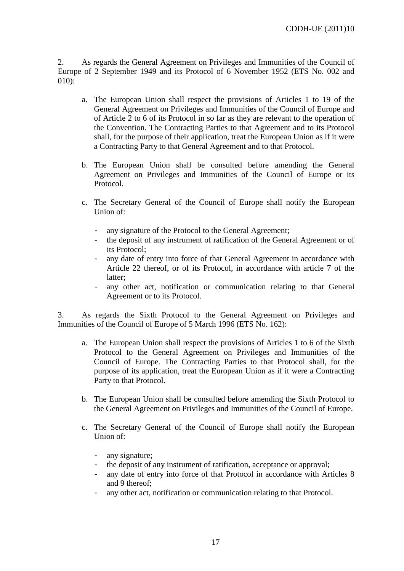2. As regards the General Agreement on Privileges and Immunities of the Council of Europe of 2 September 1949 and its Protocol of 6 November 1952 (ETS No. 002 and 010):

- a. The European Union shall respect the provisions of Articles 1 to 19 of the General Agreement on Privileges and Immunities of the Council of Europe and of Article 2 to 6 of its Protocol in so far as they are relevant to the operation of the Convention. The Contracting Parties to that Agreement and to its Protocol shall, for the purpose of their application, treat the European Union as if it were a Contracting Party to that General Agreement and to that Protocol.
- b. The European Union shall be consulted before amending the General Agreement on Privileges and Immunities of the Council of Europe or its Protocol.
- c. The Secretary General of the Council of Europe shall notify the European Union of:
	- any signature of the Protocol to the General Agreement;
	- the deposit of any instrument of ratification of the General Agreement or of its Protocol;
	- any date of entry into force of that General Agreement in accordance with Article 22 thereof, or of its Protocol, in accordance with article 7 of the latter;
	- any other act, notification or communication relating to that General Agreement or to its Protocol.

3. As regards the Sixth Protocol to the General Agreement on Privileges and Immunities of the Council of Europe of 5 March 1996 (ETS No. 162):

- a. The European Union shall respect the provisions of Articles 1 to 6 of the Sixth Protocol to the General Agreement on Privileges and Immunities of the Council of Europe. The Contracting Parties to that Protocol shall, for the purpose of its application, treat the European Union as if it were a Contracting Party to that Protocol.
- b. The European Union shall be consulted before amending the Sixth Protocol to the General Agreement on Privileges and Immunities of the Council of Europe.
- c. The Secretary General of the Council of Europe shall notify the European Union of:
	- any signature;
	- the deposit of any instrument of ratification, acceptance or approval;
	- any date of entry into force of that Protocol in accordance with Articles 8 and 9 thereof;
	- any other act, notification or communication relating to that Protocol.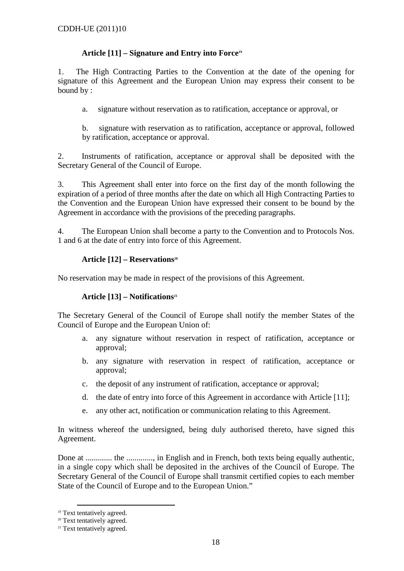## **Article [11] – Signature and Entry into Force<sup>19</sup>**

1. The High Contracting Parties to the Convention at the date of the opening for signature of this Agreement and the European Union may express their consent to be bound by :

a. signature without reservation as to ratification, acceptance or approval, or

b. signature with reservation as to ratification, acceptance or approval, followed by ratification, acceptance or approval.

2. Instruments of ratification, acceptance or approval shall be deposited with the Secretary General of the Council of Europe.

3. This Agreement shall enter into force on the first day of the month following the expiration of a period of three months after the date on which all High Contracting Parties to the Convention and the European Union have expressed their consent to be bound by the Agreement in accordance with the provisions of the preceding paragraphs.

4. The European Union shall become a party to the Convention and to Protocols Nos. 1 and 6 at the date of entry into force of this Agreement.

## **Article [12] – Reservations<sup>20</sup>**

No reservation may be made in respect of the provisions of this Agreement.

### **Article [13] – Notifications<sup>21</sup>**

The Secretary General of the Council of Europe shall notify the member States of the Council of Europe and the European Union of:

- a. any signature without reservation in respect of ratification, acceptance or approval;
- b. any signature with reservation in respect of ratification, acceptance or approval;
- c. the deposit of any instrument of ratification, acceptance or approval;
- d. the date of entry into force of this Agreement in accordance with Article [11];
- e. any other act, notification or communication relating to this Agreement.

In witness whereof the undersigned, being duly authorised thereto, have signed this Agreement.

Done at .............. the .............., in English and in French, both texts being equally authentic, in a single copy which shall be deposited in the archives of the Council of Europe. The Secretary General of the Council of Europe shall transmit certified copies to each member State of the Council of Europe and to the European Union."

<sup>&</sup>lt;sup>19</sup> Text tentatively agreed.

<sup>&</sup>lt;sup>20</sup> Text tentatively agreed.

<sup>&</sup>lt;sup>21</sup> Text tentatively agreed.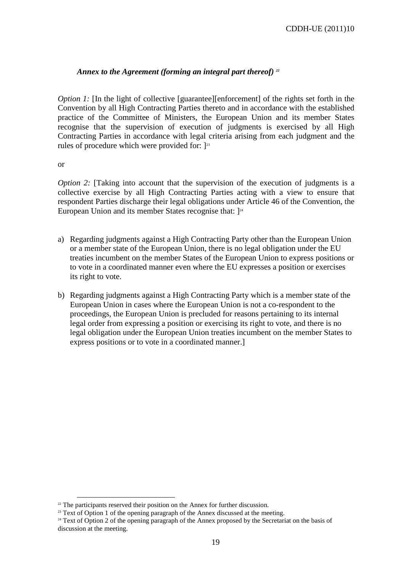### *Annex to the Agreement (forming an integral part thereof) <sup>22</sup>*

*Option 1:* [In the light of collective [guarantee][enforcement] of the rights set forth in the Convention by all High Contracting Parties thereto and in accordance with the established practice of the Committee of Ministers, the European Union and its member States recognise that the supervision of execution of judgments is exercised by all High Contracting Parties in accordance with legal criteria arising from each judgment and the rules of procedure which were provided for:  $]^{23}$ 

or

*Option 2:* [Taking into account that the supervision of the execution of judgments is a collective exercise by all High Contracting Parties acting with a view to ensure that respondent Parties discharge their legal obligations under Article 46 of the Convention, the European Union and its member States recognise that:  $]^{24}$ 

- a) Regarding judgments against a High Contracting Party other than the European Union or a member state of the European Union, there is no legal obligation under the EU treaties incumbent on the member States of the European Union to express positions or to vote in a coordinated manner even where the EU expresses a position or exercises its right to vote.
- b) Regarding judgments against a High Contracting Party which is a member state of the European Union in cases where the European Union is not a co-respondent to the proceedings, the European Union is precluded for reasons pertaining to its internal legal order from expressing a position or exercising its right to vote, and there is no legal obligation under the European Union treaties incumbent on the member States to express positions or to vote in a coordinated manner.]

 $\overline{a}$  $22$  The participants reserved their position on the Annex for further discussion.

<sup>&</sup>lt;sup>23</sup> Text of Option 1 of the opening paragraph of the Annex discussed at the meeting.

<sup>&</sup>lt;sup>24</sup> Text of Option 2 of the opening paragraph of the Annex proposed by the Secretariat on the basis of discussion at the meeting.